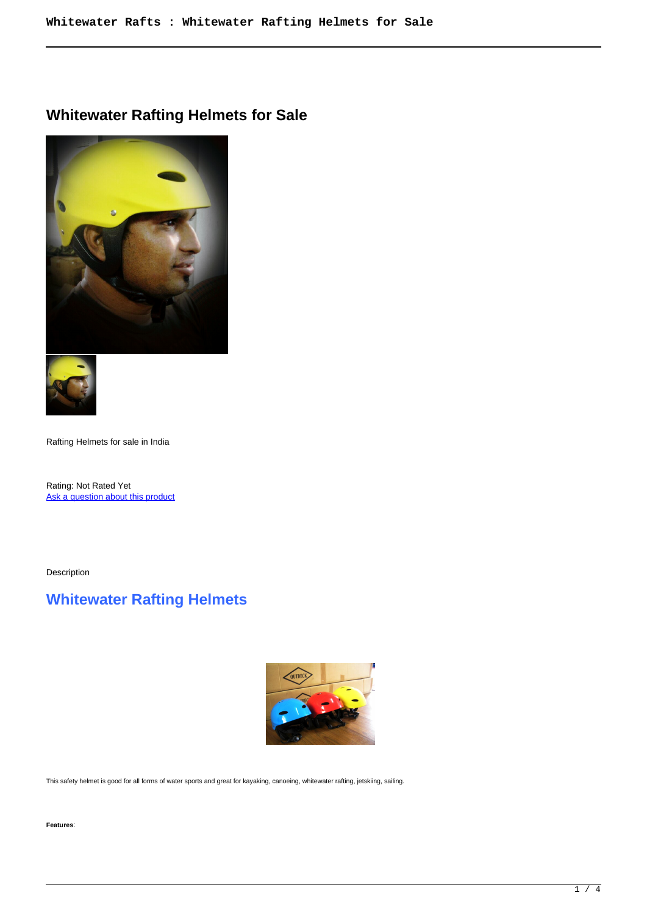$\overline{\phantom{a}}$ 

## **Whitewater Rafting Helmets for Sale**





Rafting Helmets for sale in India

Rating: Not Rated Yet Ask a question about this product

Description

# **Whitewater Rafting Helmets**



This safety helmet is good for all forms of water sports and great for kayaking, canoeing, whitewater rafting, jetskiing, sailing.

**Features**: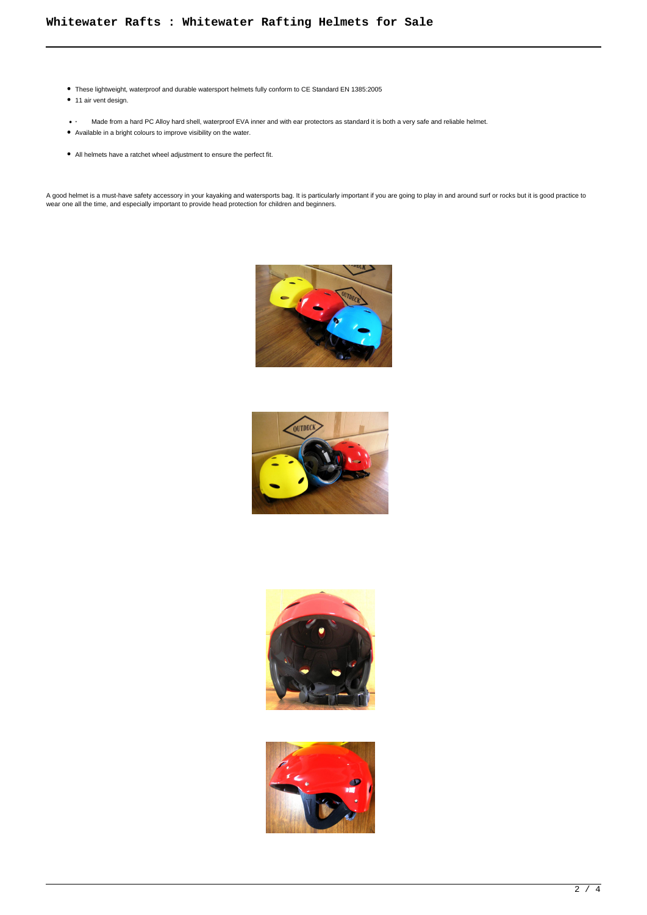- These lightweight, waterproof and durable watersport helmets fully conform to CE Standard EN 1385:2005
- 11 air vent design.
- **·** Made from a hard PC Alloy hard shell, waterproof EVA inner and with ear protectors as standard it is both a very safe and reliable helmet.
- Available in a bright colours to improve visibility on the water.
- All helmets have a ratchet wheel adjustment to ensure the perfect fit.

A good helmet is a must-have safety accessory in your kayaking and watersports bag. It is particularly important if you are going to play in and around surf or rocks but it is good practice to wear one all the time, and especially important to provide head protection for children and beginners.







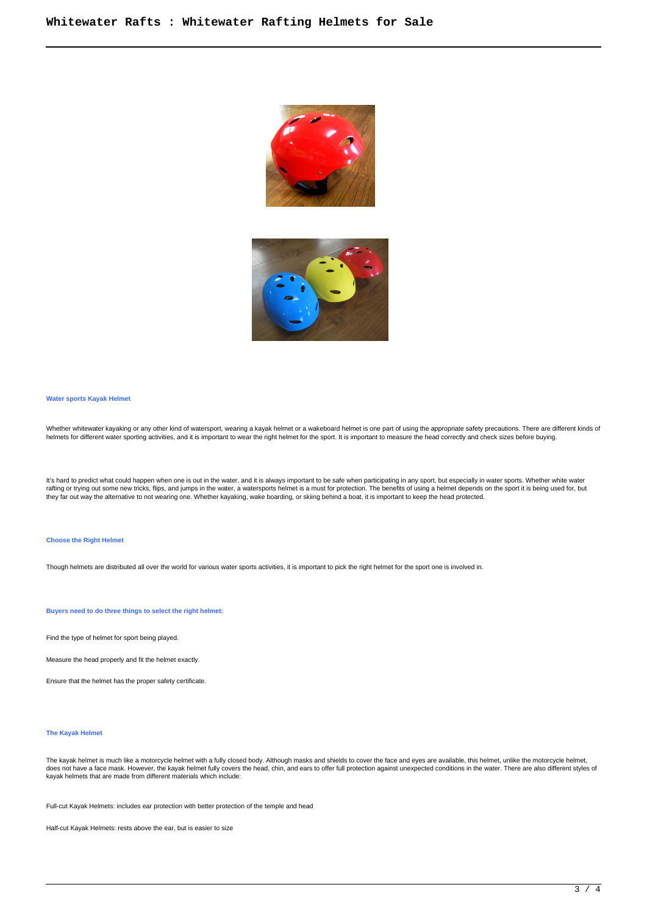



**Water sports Kayak Helmet**

Whether whitewater kayaking or any other kind of watersport, wearing a kayak helmet or a wakeboard helmet is one part of using the appropriate safety precautions. There are different kinds ot<br>helmets for different water sp

It's hard to predict what could happen when one is out in the water, and it is always important to be safe when participating in any sport, but especially in water sports. Whether white water<br>rafting or trying out some new they far out way the alternative to not wearing one. Whether kayaking, wake boarding, or skiing behind a boat, it is important to keep the head protected.

### **Choose the Right Helmet**

Though helmets are distributed all over the world for various water sports activities, it is important to pick the right helmet for the sport one is involved in.

**Buyers need to do three things to select the right helmet:**

Find the type of helmet for sport being played.

Measure the head properly and fit the helmet exactly.

Ensure that the helmet has the proper safety certificate.

### **The Kayak Helmet**

The kayak helmet is much like a motorcycle helmet with a fully closed body. Although masks and shields to cover the face and eyes are available, this helmet, unlike the motorcycle helmet, does not have a face mask. However, the kayak helmet fully covers the head, chin, and ears to offer full protection against unexpected conditions in the water. There are also different styles of does not have a face mask. kayak helmets that are made from different materials which include:

Full-cut Kayak Helmets: includes ear protection with better protection of the temple and head

Half-cut Kayak Helmets: rests above the ear, but is easier to size